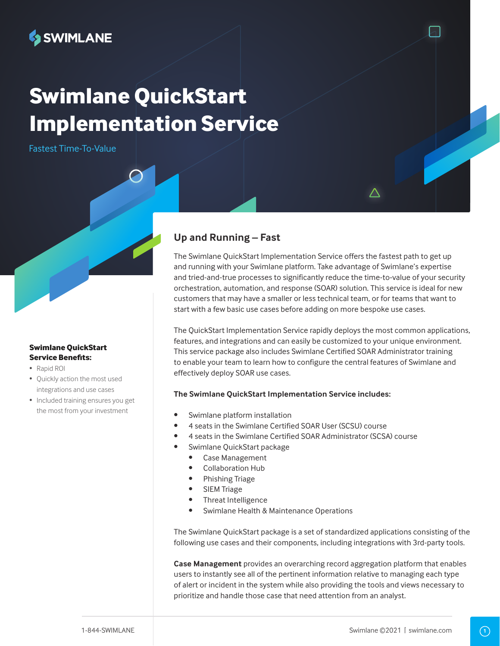

# **Swimlane QuickStart Implementation Service**

Fastest Time-To-Value

### **Swimlane QuickStart Service Benefits:**

- Rapid ROI
- Quickly action the most used integrations and use cases
- Included training ensures you get the most from your investment

# **Up and Running – Fast**

The Swimlane QuickStart Implementation Service offers the fastest path to get up and running with your Swimlane platform. Take advantage of Swimlane's expertise and tried-and-true processes to significantly reduce the time-to-value of your security orchestration, automation, and response (SOAR) solution. This service is ideal for new customers that may have a smaller or less technical team, or for teams that want to start with a few basic use cases before adding on more bespoke use cases.

The QuickStart Implementation Service rapidly deploys the most common applications, features, and integrations and can easily be customized to your unique environment. This service package also includes Swimlane Certified SOAR Administrator training to enable your team to learn how to configure the central features of Swimlane and effectively deploy SOAR use cases.

## **The Swimlane QuickStart Implementation Service includes:**

- Swimlane platform installation
- 4 seats in the Swimlane Certified SOAR User (SCSU) course
- 4 seats in the Swimlane Certified SOAR Administrator (SCSA) course
- Swimlane QuickStart package
	- Case Management
	- Collaboration Hub
	- Phishing Triage
	- SIEM Triage
	- Threat Intelligence
	- Swimlane Health & Maintenance Operations

The Swimlane QuickStart package is a set of standardized applications consisting of the following use cases and their components, including integrations with 3rd-party tools.

**Case Management** provides an overarching record aggregation platform that enables users to instantly see all of the pertinent information relative to managing each type of alert or incident in the system while also providing the tools and views necessary to prioritize and handle those case that need attention from an analyst.